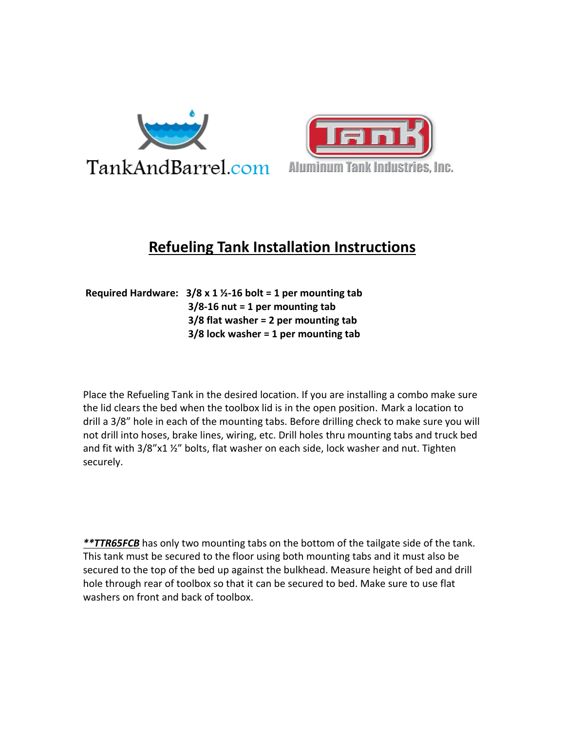



## **Refueling Tank Installation Instructions**

**Required Hardware: 3/8 x 1 ½-16 bolt = 1 per mounting tab 3/8-16 nut = 1 per mounting tab 3/8 flat washer = 2 per mounting tab 3/8 lock washer = 1 per mounting tab**

Place the Refueling Tank in the desired location. If you are installing a combo make sure the lid clears the bed when the toolbox lid is in the open position. Mark a location to drill a 3/8" hole in each of the mounting tabs. Before drilling check to make sure you will not drill into hoses, brake lines, wiring, etc. Drill holes thru mounting tabs and truck bed and fit with 3/8"x1 ½" bolts, flat washer on each side, lock washer and nut. Tighten securely.

*\*\*TTR65FCB* has only two mounting tabs on the bottom of the tailgate side of the tank. This tank must be secured to the floor using both mounting tabs and it must also be secured to the top of the bed up against the bulkhead. Measure height of bed and drill hole through rear of toolbox so that it can be secured to bed. Make sure to use flat washers on front and back of toolbox.